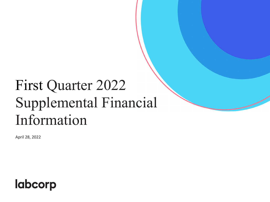# First Quarter 2022 Supplemental Financial Information

April 28, 2022

# **labcorp**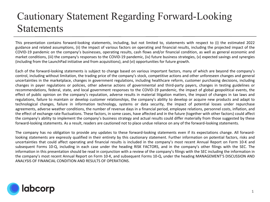### Cautionary Statement Regarding Forward-Looking **Statements**

This presentation contains forward-looking statements, including, but not limited to, statements with respect to (i) the estimated 2022 guidance and related assumptions, (ii) the impact of various factors on operating and financial results, including the projected impact of the COVID-19 pandemic on the company's businesses, operating results, cash flows and/or financial condition, as well as general economic and market conditions, (iii) the company's responses to the COVID-19 pandemic, (iv) future business strategies, (v) expected savings and synergies (including from the LaunchPad initiative and from acquisitions), and (vi) opportunities for future growth.

Each of the forward-looking statements is subject to change based on various important factors, many of which are beyond the company's control, including without limitation, the trading price of the company's stock, competitive actions and other unforeseen changes and general uncertainties in the marketplace, changes in government regulations, including healthcare reform, customer purchasing decisions, including changes in payer regulations or policies, other adverse actions of governmental and third-party payers, changes in testing guidelines or recommendations, federal, state, and local government responses to the COVID-19 pandemic, the impact of global geopolitical events, the effect of public opinion on the company's reputation, adverse results in material litigation matters, the impact of changes in tax laws and regulations, failure to maintain or develop customer relationships, the company's ability to develop or acquire new products and adapt to technological changes, failure in information technology, systems or data security, the impact of potential losses under repurchase agreements, adverse weather conditions, the number of revenue days in a financial period, employee relations, personnel costs, inflation, and the effect of exchange rate fluctuations. These factors, in some cases, have affected and in the future (together with other factors) could affect the company's ability to implement the company's business strategy and actual results could differ materially from those suggested by these forward-looking statements. As a result, readers are cautioned not to place undue reliance on any of the forward-looking statements.

The company has no obligation to provide any updates to these forward-looking statements even if its expectations change. All forwardlooking statements are expressly qualified in their entirety by this cautionary statement. Further information on potential factors, risks and uncertainties that could affect operating and financial results is included in the company's most recent Annual Report on Form 10-K and subsequent Forms 10-Q, including in each case under the heading RISK FACTORS, and in the company's other filings with the SEC. The information in this presentation should be read in conjunction with a review of the company's filings with the SEC including the information in the company's most recent Annual Report on Form 10-K, and subsequent Forms 10-Q, under the heading MANAGEMENT'S DISCUSSION AND ANALYSIS OF FINANCIAL CONDITION AND RESULTS OF OPERATIONS.

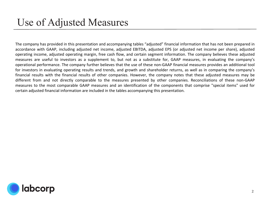#### Use of Adjusted Measures

The company has provided in this presentation and accompanying tables "adjusted" financial information that has not been prepared in accordance with GAAP, including adjusted net income, adjusted EBITDA, adjusted EPS (or adjusted net income per share), adjusted operating income, adjusted operating margin, free cash flow, and certain segment information. The company believes these adjusted measures are useful to investors as a supplement to, but not as a substitute for, GAAP measures, in evaluating the company's operational performance. The company further believes that the use of these non-GAAP financial measures provides an additional tool for investors in evaluating operating results and trends, and growth and shareholder returns, as well as in comparing the company's financial results with the financial results of other companies. However, the company notes that these adjusted measures may be different from and not directly comparable to the measures presented by other companies. Reconciliations of these non-GAAP measures to the most comparable GAAP measures and an identification of the components that comprise "special items" used for certain adjusted financial information are included in the tables accompanying this presentation.

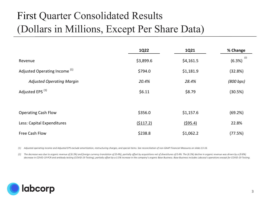# First Quarter Consolidated Results (Dollars in Millions, Except Per Share Data)

|                                          | <b>1Q22</b> | 1Q21      | % Change      |
|------------------------------------------|-------------|-----------|---------------|
| Revenue                                  | \$3,899.6   | \$4,161.5 | (2)<br>(6.3%) |
| Adjusted Operating Income <sup>(1)</sup> | \$794.0     | \$1,181.9 | (32.8%)       |
| <b>Adjusted Operating Margin</b>         | 20.4%       | 28.4%     | (800 bps)     |
| Adjusted EPS <sup>(1)</sup>              | \$6.11      | \$8.79    | (30.5%)       |
|                                          |             |           |               |
| <b>Operating Cash Flow</b>               | \$356.0     | \$1,157.6 | (69.2%)       |
| Less: Capital Expenditures               | (5117.2)    | (595.4)   | 22.8%         |
| Free Cash Flow                           | \$238.8     | \$1,062.2 | (77.5%)       |

*(1) Adjusted operating income and Adjusted EPS exclude amortization, restructuring charges, and special items. See reconciliation of non-GAAP Financial Measures on slides 13-16.*

(2) The decrease was due to organic revenue of (6.3%) and foreign currency translation of (0.4%), partially offset by acquisitions net of divestitures of 0.4%. The (6.3%) decline in organic revenue was driven by a (9.8%) *decrease in COVID-19 PCR and antibody testing (COVID-19 Testing), partially offset by a 3.5% increase in the company's organic Base Business. Base Business includes Labcorp's operations except for COVID-19 Testing.*

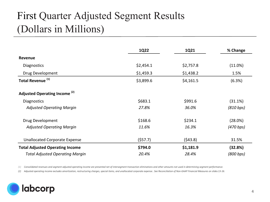# First Quarter Adjusted Segment Results (Dollars in Millions)

|                                          | 1Q22      | 1Q21      | % Change  |
|------------------------------------------|-----------|-----------|-----------|
| <b>Revenue</b>                           |           |           |           |
| <b>Diagnostics</b>                       | \$2,454.1 | \$2,757.8 | (11.0%)   |
| Drug Development                         | \$1,459.3 | \$1,438.2 | 1.5%      |
| Total Revenue <sup>(1)</sup>             | \$3,899.6 | \$4,161.5 | (6.3%)    |
| Adjusted Operating Income <sup>(2)</sup> |           |           |           |
| <b>Diagnostics</b>                       | \$683.1   | \$991.6   | (31.1%)   |
| <b>Adjusted Operating Margin</b>         | 27.8%     | 36.0%     | (810 bps) |
| Drug Development                         | \$168.6   | \$234.1   | (28.0%)   |
| <b>Adjusted Operating Margin</b>         | 11.6%     | 16.3%     | (470 bps) |
| <b>Unallocated Corporate Expense</b>     | (557.7)   | (543.8)   | 31.5%     |
| <b>Total Adjusted Operating Income</b>   | \$794.0   | \$1,181.9 | (32.8%)   |
| <b>Total Adjusted Operating Margin</b>   | 20.4%     | 28.4%     | (800 bps) |

*(1) Consolidated revenues and segment adjusted operating income are presented net of intersegment transaction eliminations and other amounts not used in determining segment performance.* 

*(2) Adjusted operating income excludes amortization, restructuring charges, special items, and unallocated corporate expense.. See Reconciliation of Non-GAAP Financial Measures on slides 13-16.*

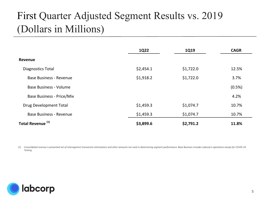# First Quarter Adjusted Segment Results vs. 2019 (Dollars in Millions)

|                                  | 1Q22      | 1Q19      | <b>CAGR</b> |
|----------------------------------|-----------|-----------|-------------|
| Revenue                          |           |           |             |
| Diagnostics Total                | \$2,454.1 | \$1,722.0 | 12.5%       |
| <b>Base Business - Revenue</b>   | \$1,918.2 | \$1,722.0 | 3.7%        |
| <b>Base Business - Volume</b>    |           |           | (0.5%)      |
| <b>Base Business - Price/Mix</b> |           |           | 4.2%        |
| <b>Drug Development Total</b>    | \$1,459.3 | \$1,074.7 | 10.7%       |
| <b>Base Business - Revenue</b>   | \$1,459.3 | \$1,074.7 | 10.7%       |
| Total Revenue <sup>(1)</sup>     | \$3,899.6 | \$2,791.2 | 11.8%       |

*(1) Consolidated revenue is presented net of intersegment transaction eliminations and other amounts not used in determining segment performance. Base Business includes Labcorp's operations except for COVID-19 Testing.*

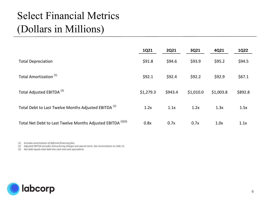# Select Financial Metrics (Dollars in Millions)

|                                                                        | 1Q21      | <b>2Q21</b> | 3Q21      | 4Q21      | <b>1Q22</b> |
|------------------------------------------------------------------------|-----------|-------------|-----------|-----------|-------------|
| <b>Total Depreciation</b>                                              | \$91.8    | \$94.6      | \$93.9    | \$95.2    | \$94.5      |
| Total Amortization <sup>(1)</sup>                                      | \$92.1    | \$92.4      | \$92.2    | \$92.9    | \$67.1      |
| Total Adjusted EBITDA <sup>(2)</sup>                                   | \$1,279.3 | \$943.4     | \$1,010.0 | \$1,003.8 | \$892.8     |
| Total Debt to Last Twelve Months Adjusted EBITDA <sup>(2)</sup>        | 1.2x      | 1.1x        | 1.2x      | 1.3x      | 1.5x        |
| Total Net Debt to Last Twelve Months Adjusted EBITDA <sup>(2)(3)</sup> | 0.8x      | 0.7x        | 0.7x      | 1.0x      | 1.1x        |

*(1) Excludes amortization of deferred financing fees.*

*(2) Adjusted EBITDA excludes restructuring charges and special items. See reconciliation on slide 13.* 

*(3) Net debt equals total debt less cash and cash equivalents.*

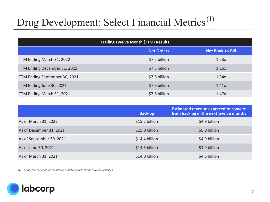# Drug Development: Select Financial Metrics<sup>(1)</sup>

| <b>Trailing Twelve Month (TTM) Results</b> |                   |                         |  |  |  |  |  |  |
|--------------------------------------------|-------------------|-------------------------|--|--|--|--|--|--|
|                                            | <b>Net Orders</b> | <b>Net Book-to-Bill</b> |  |  |  |  |  |  |
| TTM Ending March 31, 2022                  | \$7.2 billion     | 1.23x                   |  |  |  |  |  |  |
| TTM Ending December 31, 2021               | \$7.3 billion     | 1.25x                   |  |  |  |  |  |  |
| TTM Ending September 30, 2021              | \$7.8 billion     | 1.34x                   |  |  |  |  |  |  |
| TTM Ending June 30, 2021                   | \$7.9 billion     | 1.41x                   |  |  |  |  |  |  |
| TTM Ending March 31, 2021                  | \$7.6 billion     | 1.47x                   |  |  |  |  |  |  |

|                          | <b>Backlog</b> | <b>Estimated revenue expected to convert</b><br>from backlog in the next twelve months |
|--------------------------|----------------|----------------------------------------------------------------------------------------|
| As of March 31, 2022     | \$15.2 billion | \$4.9 billion                                                                          |
| As of December 31, 2021  | \$15.0 billion | \$5.0 billion                                                                          |
| As of September 30, 2021 | \$14.4 billion | \$4.9 billion                                                                          |
| As of June 30, 2021      | \$14.3 billion | \$4.9 billion                                                                          |
| As of March 31, 2021     | \$14.0 billion | \$4.6 billion                                                                          |

*(1) Results shown include the impact from cancellations and foreign currency translation.*

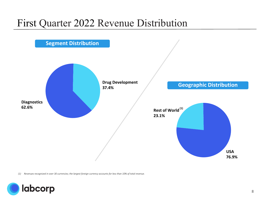#### First Quarter 2022 Revenue Distribution



*(1) Revenues recognized in over 30 currencies; the largest foreign currency accounts for less than 10% of total revenue.*

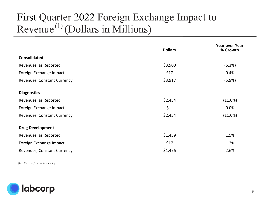### First Quarter 2022 Foreign Exchange Impact to Revenue<sup> $(1)$ </sup> (Dollars in Millions)

|                             | <b>Dollars</b> | <b>Year over Year</b><br>% Growth |
|-----------------------------|----------------|-----------------------------------|
| <b>Consolidated</b>         |                |                                   |
| Revenues, as Reported       | \$3,900        | (6.3%)                            |
| Foreign Exchange Impact     | \$17           | 0.4%                              |
| Revenues, Constant Currency | \$3,917        | (5.9%)                            |
| <b>Diagnostics</b>          |                |                                   |
| Revenues, as Reported       | \$2,454        | (11.0%)                           |
| Foreign Exchange Impact     | $\zeta-$       | 0.0%                              |
| Revenues, Constant Currency | \$2,454        | (11.0%)                           |
| <b>Drug Development</b>     |                |                                   |
| Revenues, as Reported       | \$1,459        | 1.5%                              |
| Foreign Exchange Impact     | \$17           | 1.2%                              |
| Revenues, Constant Currency | \$1,476        | 2.6%                              |

*(1) Does not foot due to rounding.*

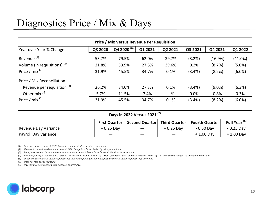### Diagnostics Price / Mix & Days

| Price / Mix Versus Revenue Per Requisition |         |                     |         |         |           |           |           |  |  |  |  |  |
|--------------------------------------------|---------|---------------------|---------|---------|-----------|-----------|-----------|--|--|--|--|--|
| Year over Year % Change                    | Q3 2020 | $\frac{(6)}{2}$ (6) | Q1 2021 | Q2 2021 | Q3 2021   | Q4 2021   | Q1 2022   |  |  |  |  |  |
| Revenue <sup>(1)</sup>                     | 53.7%   | 79.5%               | 62.0%   | 39.7%   | (3.2%)    | (16.9%)   | (11.0%)   |  |  |  |  |  |
| Volume (in requisitions) $(2)$             | 21.8%   | 33.9%               | 27.3%   | 39.6%   | 0.2%      | (8.7%)    | $(5.0\%)$ |  |  |  |  |  |
| $ Price / mix^{(3)} $                      | 31.9%   | 45.5%               | 34.7%   | 0.1%    | (3.4%)    | (8.2%)    | $(6.0\%)$ |  |  |  |  |  |
| <b>Price / Mix Reconciliation</b>          |         |                     |         |         |           |           |           |  |  |  |  |  |
| Revenue per requisition <sup>(4)</sup>     | 26.2%   | 34.0%               | 27.3%   | 0.1%    | $(3.4\%)$ | $(9.0\%)$ | (6.3%)    |  |  |  |  |  |
| Other mix <sup>(5)</sup>                   | 5.7%    | 11.5%               | 7.4%    | $-\%$   | 0.0%      | 0.8%      | 0.3%      |  |  |  |  |  |
| $ Price / mix^{(3)} $                      | 31.9%   | 45.5%               | 34.7%   | 0.1%    | $(3.4\%)$ | (8.2%)    | $(6.0\%)$ |  |  |  |  |  |

| Days in 2022 Versus 2021 <sup>(7)</sup> |                      |                              |             |                |                          |  |  |  |  |  |  |
|-----------------------------------------|----------------------|------------------------------|-------------|----------------|--------------------------|--|--|--|--|--|--|
|                                         | <b>First Quarter</b> | Second Quarter Third Quarter |             | Fourth Quarter | Full Year <sup>(6)</sup> |  |  |  |  |  |  |
| Revenue Day Variance                    | $+0.25$ Day          |                              | $+0.25$ Day | - 0.50 Day     | $-0.25$ Day              |  |  |  |  |  |  |
| Payroll Day Variance                    |                      |                              |             | $+1.00$ Day    | $+1.00$ Day              |  |  |  |  |  |  |

*(1) Revenue variance percent: YOY change in revenue divided by prior year revenue.*

*(2) Volume (in requisitions) variance percent: YOY change in volume divided by prior year volume.*

*(3) Price / mix percent: Calculated as revenue variance percent, less volume (in requisitions) variance percent.*

*(4) Revenue per requisition variance percent: Current year revenue divided by current year requisition volume with result divided by the same calculation for the prior year, minus one.*

*(5) Other mix percent: YOY variance percentage in revenue per requisition multiplied by the YOY variance percentage in volume.*

*(6) Does not foot due to rounding.*

*(7) Day variances are rounded to the nearest quarter day.* 

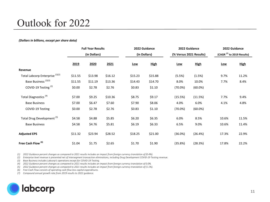#### Outlook for 2022

#### *(Dollars in billions, except per share data)*

|                                            |         | <b>Full Year Results</b> |         | 2022 Guidance<br>(in Dollars) |             | 2022 Guidance |                         | 2022 Guidance<br>(CAGR $(7)$ to 2019 Results) |             |  |
|--------------------------------------------|---------|--------------------------|---------|-------------------------------|-------------|---------------|-------------------------|-----------------------------------------------|-------------|--|
|                                            |         | (in Dollars)             |         |                               |             |               | (% Versus 2021 Results) |                                               |             |  |
|                                            | 2019    | 2020                     | 2021    | Low                           | <b>High</b> | Low           | <b>High</b>             | Low                                           | <b>High</b> |  |
| Revenue                                    |         |                          |         |                               |             |               |                         |                                               |             |  |
| Total Labcorp Enterprise <sup>(1)(2)</sup> | \$11.55 | \$13.98                  | \$16.12 | \$15.23                       | \$15.88     | (5.5%)        | (1.5%)                  | 9.7%                                          | 11.2%       |  |
| Base Business <sup>(2)(3)</sup>            | \$11.55 | \$11.19                  | \$13.36 | \$14.43                       | \$14.70     | 8.0%          | 10.0%                   | 7.7%                                          | 8.4%        |  |
| COVID-19 Testing <sup>(2)</sup>            | \$0.00  | \$2.78                   | \$2.76  | \$0.83                        | \$1.10      | (70.0%)       | (60.0%)                 |                                               |             |  |
| Total Diagnostics <sup>(4)</sup>           | \$7.00  | \$9.25                   | \$10.36 | \$8.75                        | \$9.17      | (15.5%)       | (11.5%)                 | 7.7%                                          | 9.4%        |  |
| <b>Base Business</b>                       | \$7.00  | \$6.47                   | \$7.60  | \$7.90                        | \$8.06      | 4.0%          | 6.0%                    | 4.1%                                          | 4.8%        |  |
| COVID-19 Testing                           | \$0.00  | \$2.78                   | \$2.76  | \$0.83                        | \$1.10      | (70.0%)       | (60.0%)                 |                                               |             |  |
| Total Drug Development <sup>(5)</sup>      | \$4.58  | \$4.88                   | \$5.85  | \$6.20                        | \$6.35      | 6.0%          | 8.5%                    | 10.6%                                         | 11.5%       |  |
| <b>Base Business</b>                       | \$4.58  | \$4.76                   | \$5.81  | \$6.19                        | \$6.33      | 6.5%          | 9.0%                    | 10.6%                                         | 11.4%       |  |
| <b>Adjusted EPS</b>                        | \$11.32 | \$23.94                  | \$28.52 | \$18.25                       | \$21.00     | (36.0%)       | (26.4%)                 | 17.3%                                         | 22.9%       |  |
| Free Cash Flow <sup>(6)</sup>              | \$1.04  | \$1.75                   | \$2.65  | \$1.70                        | \$1.90      | (35.8%)       | (28.3%)                 | 17.8%                                         | 22.2%       |  |

*(1) 2022 Guidance percent changes as compared to 2021 results includes an impact from foreign currency translation of (0.4%).*

*(2) Enterprise level revenue is presented net of intersegment transaction eliminations, including Drug Development COVID-19 Testing revenue.*

*(3) Base Business includes Labcorp's operations except for COVID-19 Testing.*

*(4) 2022 Guidance percent changes as compared to 2021 results includes an impact from foreign currency translation of 0.0%.*

*(5) 2022 Guidance percent changes as compared to 2021 results includes an impact from foreign currency translation of (1.1%).*

*(6) Free Cash Flow consists of operating cash flow less capital expenditures.*

*(7) Compound annual growth rate from 2019 results to 2022 guidance.*

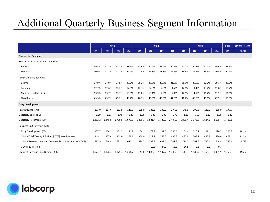#### Additional Quarterly Business Segment Information

|                                                            | 2019    |         |                | 2020           |         |         | 2021           |                |         |                | 2022           | Q1'19 - Q1'22 |                          |             |
|------------------------------------------------------------|---------|---------|----------------|----------------|---------|---------|----------------|----------------|---------|----------------|----------------|---------------|--------------------------|-------------|
|                                                            | Q1      | Q2      | Q <sub>3</sub> | Q <sub>4</sub> | Q1      | Q2      | Q <sub>3</sub> | Q <sub>4</sub> | Q1      | Q <sub>2</sub> | Q <sub>3</sub> | Q4            | Q1                       | <b>CAGR</b> |
| <b>Diagnostics Revenue</b>                                 |         |         |                |                |         |         |                |                |         |                |                |               |                          |             |
| Routine vs. Esoteric Mix Base Business:                    |         |         |                |                |         |         |                |                |         |                |                |               |                          |             |
| Routine                                                    | 59.4%   | 58.8%   | 58.8%          | 58.6%          | 58.6%   | 60.2%   | 61.2%          | 60.5%          | 60.7%   | 60.3%          | 60.1%          | 59.6%         | 59.9%                    |             |
| Esoteric                                                   | 40.6%   | 41.2%   | 41.2%          | 41.4%          | 41.4%   | 39.8%   | 38.8%          | 39.5%          | 39.3%   | 39.7%          | 39.9%          | 40.4%         | 40.1%                    |             |
| Payer Mix Base Business:                                   |         |         |                |                |         |         |                |                |         |                |                |               |                          |             |
| Clients                                                    | 27.9%   | 27.9%   | 27.8%          | 29.7%          | 28.2%   | 28.6%   | 29.0%          | 31.3%          | 28.9%   | 28.6%          | 30.2%          | 29.1%         | 28.0%                    |             |
| Patients                                                   | 12.7%   | 12.6%   | 13.2%          | 12.8%          | 12.7%   | 12.8%   | 12.3%          | 11.7%          | 12.8%   | 14.1%          | 13.4%          | 11.8%         | 10.2%                    |             |
| <b>Medicare and Medicaid</b>                               | 13.9%   | 13.7%   | 13.7%          | 13.8%          | 13.0%   | 13.1%   | 12.9%          | 12.4%          | 12.1%   | 11.7%          | 11.2%          | 11.5%         | 11.0%                    |             |
| <b>Third Party</b>                                         | 45.5%   | 45.7%   | 45.2%          | 43.7%          | 46.1%   | 45.6%   | 45.9%          | 44.6%          | 46.2%   | 45.5%          | 45.1%          | 47.5%         | 50.8%                    |             |
| <b>Drug Development</b>                                    |         |         |                |                |         |         |                |                |         |                |                |               |                          |             |
| Passthroughs (\$M)                                         | 133.0   | 167.6   | 152.9          | 148.3          | 135.0   | 136.6   | 139.2          | 174.3          | 178.6   | 199.8          | 181.0          | 165.0         | 177.7                    |             |
| Quarterly Book-to-Bill                                     | 1.19    | 1.11    | 1.45           | 1.39           | 1.06    | 1.39    | 1.39           | 1.79           | 1.30    | 1.19           | 1.12           | 1.38          | 1.22                     |             |
| Quarterly Net Orders (\$M)                                 | 1,282.2 | 1.245.8 | 1.709.5        | 1,670.5        | 1,209.1 | 1,521.4 | 1,729.5        | 2,497.2        | 1,865.4 | 1,772.8        | 1.634.1        | 2,005.4       | 1.786.1                  |             |
| Business Unit Revenue (\$M)                                |         |         |                |                |         |         |                |                |         |                |                |               |                          |             |
| Early Development (ED)                                     | 137.7   | 154.2   | 181.3          | 184.2          | 184.1   | 179.9   | 191.6          | 204.4          | 204.6   | 216.2          | 218.4          | 220.5         | 226.8                    | 18.1%       |
| Clinical Trial Testing Solutions (CTTS) Base Business      | 349.1   | 357.4   | 363.0          | 371.1          | 360.0   | 312.1   | 368.5          | 435.8          | 482.6   | 508.1          | 487.8          | 486.6         | 477.4                    | 11.0%       |
| Clinical Development and Commercialization Services (CDCS) | 587.9   | 614.8   | 631.1          | 646.4          | 599.7   | 588.8   | 637.6          | 701.8          | 726.2   | 761.6          | 752.1          | 744.9         | 755.1                    | 8.7%        |
| COVID-19 Testing                                           |         |         |                |                |         | 12.8    | 44.2           | 56.3           | 24.8    | 9.3            | 1.1            | 0.7           | $\overline{\phantom{m}}$ |             |
| Segment Revenue Base Business (\$M)                        | 1.074.7 | 1,126.4 | 1,175.4        | 1,201.7        | 1,143.8 | 1,080.9 | 1,197.7        | 1,342.0        | 1,413.3 | 1,485.9        | 1,458.3        | 1,451.9       | 1,459.3                  | 10.7%       |

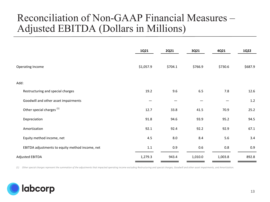#### Reconciliation of Non-GAAP Financial Measures – Adjusted EBITDA (Dollars in Millions)

|                                                 | 1Q21      | <b>2Q21</b> | <b>3Q21</b> | 4Q21    | <b>1Q22</b> |
|-------------------------------------------------|-----------|-------------|-------------|---------|-------------|
| Operating Income                                | \$1,057.9 | \$704.1     | \$766.9     | \$730.6 | \$687.9     |
| Add:                                            |           |             |             |         |             |
| Restructuring and special charges               | 19.2      | 9.6         | 6.5         | 7.8     | 12.6        |
| Goodwill and other asset impairments            |           |             |             |         | $1.2\,$     |
| Other special charges <sup>(1)</sup>            | 12.7      | 33.8        | 41.5        | 70.9    | 25.2        |
| Depreciation                                    | 91.8      | 94.6        | 93.9        | 95.2    | 94.5        |
| Amortization                                    | 92.1      | 92.4        | 92.2        | 92.9    | 67.1        |
| Equity method income, net                       | 4.5       | 8.0         | 8.4         | 5.6     | 3.4         |
| EBITDA adjustments to equity method income, net | $1.1\,$   | 0.9         | 0.6         | 0.8     | 0.9         |
| <b>Adjusted EBITDA</b>                          | 1,279.3   | 943.4       | 1,010.0     | 1,003.8 | 892.8       |

*(1) Other special charges represent the summation of the adjustments that impacted operating income excluding Restructuring and special charges, Goodwill and other asset impairments, and Amortization.*

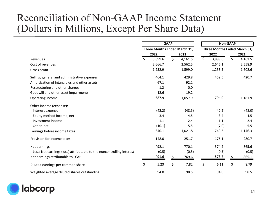#### Reconciliation of Non-GAAP Income Statement (Dollars in Millions, Except Per Share Data)

|                                                                       |    | <b>GAAP</b><br>Three Months Ended March 31, |    |         |    | <b>Non-GAAP</b><br>Three Months Ended March 31, |    |         |  |
|-----------------------------------------------------------------------|----|---------------------------------------------|----|---------|----|-------------------------------------------------|----|---------|--|
|                                                                       |    |                                             |    |         |    |                                                 |    |         |  |
| Revenues                                                              | Ś. | 3,899.6                                     | \$ | 4,161.5 | \$ | 3,899.6                                         | \$ | 4,161.5 |  |
| Cost of revenues                                                      |    | 2,666.7                                     |    | 2,562.5 |    | 2,646.1                                         |    | 2,558.9 |  |
| Gross profit                                                          |    | 1,232.9                                     |    | 1,599.0 |    | 1,253.5                                         |    | 1,602.6 |  |
| Selling, general and administrative expenses                          |    | 464.1                                       |    | 429.8   |    | 459.5                                           |    | 420.7   |  |
| Amortization of intangibles and other assets                          |    | 67.1                                        |    | 92.1    |    |                                                 |    |         |  |
| Restructuring and other charges                                       |    | 1.2                                         |    | 0.0     |    |                                                 |    |         |  |
| Goodwill and other asset impairments                                  |    | 12.6                                        |    | 19.2    |    |                                                 |    |         |  |
| Operating income                                                      |    | 687.9                                       |    | 1,057.9 |    | 794.0                                           |    | 1,181.9 |  |
| Other income (expense):                                               |    |                                             |    |         |    |                                                 |    |         |  |
| Interest expense                                                      |    | (42.2)                                      |    | (48.5)  |    | (42.2)                                          |    | (48.0)  |  |
| Equity method income, net                                             |    | 3.4                                         |    | 4.5     |    | 3.4                                             |    | 4.5     |  |
| Investment income                                                     |    | 1.1                                         |    | 2.4     |    | 1.1                                             |    | 2.4     |  |
| Other, net                                                            |    | (10.1)                                      |    | 5.5     |    | (7.0)                                           |    | 5.5     |  |
| Earnings before income taxes                                          |    | 640.1                                       |    | 1,021.8 |    | 749.3                                           |    | 1,146.3 |  |
| Provision for income taxes                                            |    | 148.0                                       |    | 251.7   |    | 175.1                                           |    | 280.7   |  |
| Net earnings                                                          |    | 492.1                                       |    | 770.1   |    | 574.2                                           |    | 865.6   |  |
| Less: Net earnings (loss) attributable to the noncontrolling interest |    | (0.5)                                       |    | (0.5)   |    | (0.5)                                           |    | (0.5)   |  |
| Net earnings attributable to LCAH                                     |    | 491.6                                       | \$ | 769.6   |    | 573.7                                           | Ŝ. | 865.1   |  |
| Diluted earnings per common share                                     | \$ | 5.23                                        | \$ | 7.82    | \$ | 6.11                                            | \$ | 8.79    |  |
| Weighted average diluted shares outstanding                           |    | 94.0                                        |    | 98.5    |    | 94.0                                            |    | 98.5    |  |

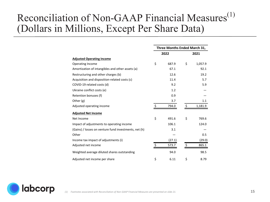#### Reconciliation of Non-GAAP Financial Measures $<sup>(1)</sup>$ </sup> (Dollars in Millions, Except Per Share Data)

|                                                       | Three Months Ended March 31, |        |      |         |  |  |
|-------------------------------------------------------|------------------------------|--------|------|---------|--|--|
|                                                       | 2022                         |        | 2021 |         |  |  |
| <b>Adjusted Operating Income</b>                      |                              |        |      |         |  |  |
| <b>Operating Income</b>                               | \$                           | 687.9  | \$   | 1,057.9 |  |  |
| Amortization of intangibles and other assets (a)      |                              | 67.1   |      | 92.1    |  |  |
| Restructuring and other charges (b)                   |                              | 12.6   |      | 19.2    |  |  |
| Acquisition and disposition-related costs (c)         |                              | 11.4   |      | 5.7     |  |  |
| COVID-19 related costs (d)                            |                              | 9.2    |      | 5.9     |  |  |
| Ukraine conflict costs (e)                            |                              | 1.2    |      |         |  |  |
| Retention bonuses (f)                                 |                              | 0.9    |      |         |  |  |
| Other $(g)$                                           |                              | 3.7    |      | 1.1     |  |  |
| Adjusted operating income                             | Ś                            | 794.0  |      | 1,181.9 |  |  |
| <b>Adjusted Net Income</b>                            |                              |        |      |         |  |  |
| Net Income                                            | \$                           | 491.6  | \$   | 769.6   |  |  |
| Impact of adjustments to operating income             |                              | 106.1  |      | 124.0   |  |  |
| (Gains) / losses on venture fund investments, net (h) |                              | 3.1    |      |         |  |  |
| Other                                                 |                              |        |      | 0.5     |  |  |
| Income tax impact of adjustments (i)                  |                              | (27.1) |      | (29.0)  |  |  |
| Adjusted net income                                   | Ś                            | 573.7  | Ś    | 865.1   |  |  |
| Weighted average diluted shares outstanding           |                              | 94.0   |      | 98.5    |  |  |
| Adjusted net income per share                         | \$                           | 6.11   | \$   | 8.79    |  |  |